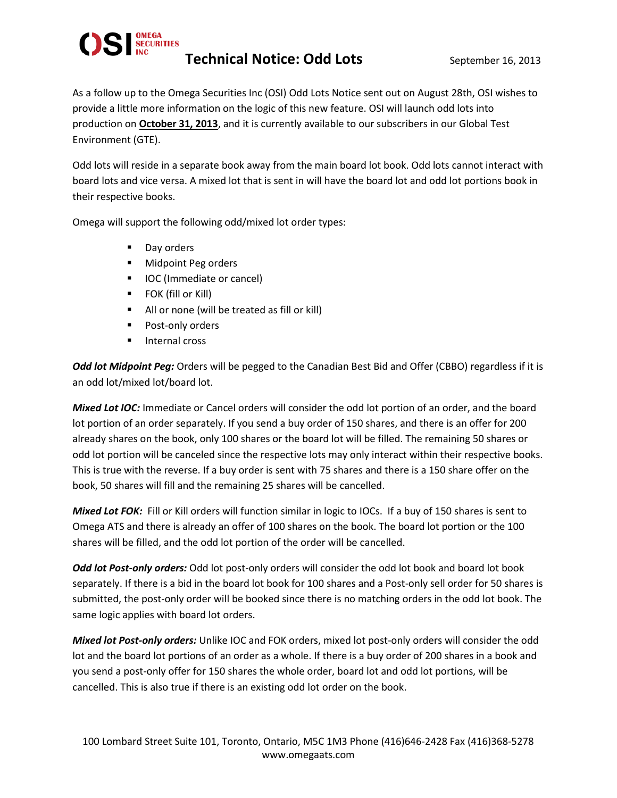

As a follow up to the Omega Securities Inc (OSI) Odd Lots Notice sent out on August 28th, OSI wishes to provide a little more information on the logic of this new feature. OSI will launch odd lots into production on **October 31, 2013**, and it is currently available to our subscribers in our Global Test Environment (GTE).

Odd lots will reside in a separate book away from the main board lot book. Odd lots cannot interact with board lots and vice versa. A mixed lot that is sent in will have the board lot and odd lot portions book in their respective books.

Omega will support the following odd/mixed lot order types:

- **Day orders**
- **Midpoint Peg orders**
- IOC (Immediate or cancel)
- **FOK (fill or Kill)**
- All or none (will be treated as fill or kill)
- **Post-only orders**
- Internal cross

*Odd lot Midpoint Peg:* Orders will be pegged to the Canadian Best Bid and Offer (CBBO) regardless if it is an odd lot/mixed lot/board lot.

*Mixed Lot IOC:* Immediate or Cancel orders will consider the odd lot portion of an order, and the board lot portion of an order separately. If you send a buy order of 150 shares, and there is an offer for 200 already shares on the book, only 100 shares or the board lot will be filled. The remaining 50 shares or odd lot portion will be canceled since the respective lots may only interact within their respective books. This is true with the reverse. If a buy order is sent with 75 shares and there is a 150 share offer on the book, 50 shares will fill and the remaining 25 shares will be cancelled.

*Mixed Lot FOK:* Fill or Kill orders will function similar in logic to IOCs. If a buy of 150 shares is sent to Omega ATS and there is already an offer of 100 shares on the book. The board lot portion or the 100 shares will be filled, and the odd lot portion of the order will be cancelled.

*Odd lot Post-only orders:* Odd lot post-only orders will consider the odd lot book and board lot book separately. If there is a bid in the board lot book for 100 shares and a Post-only sell order for 50 shares is submitted, the post-only order will be booked since there is no matching orders in the odd lot book. The same logic applies with board lot orders.

*Mixed lot Post-only orders:* Unlike IOC and FOK orders, mixed lot post-only orders will consider the odd lot and the board lot portions of an order as a whole. If there is a buy order of 200 shares in a book and you send a post-only offer for 150 shares the whole order, board lot and odd lot portions, will be cancelled. This is also true if there is an existing odd lot order on the book.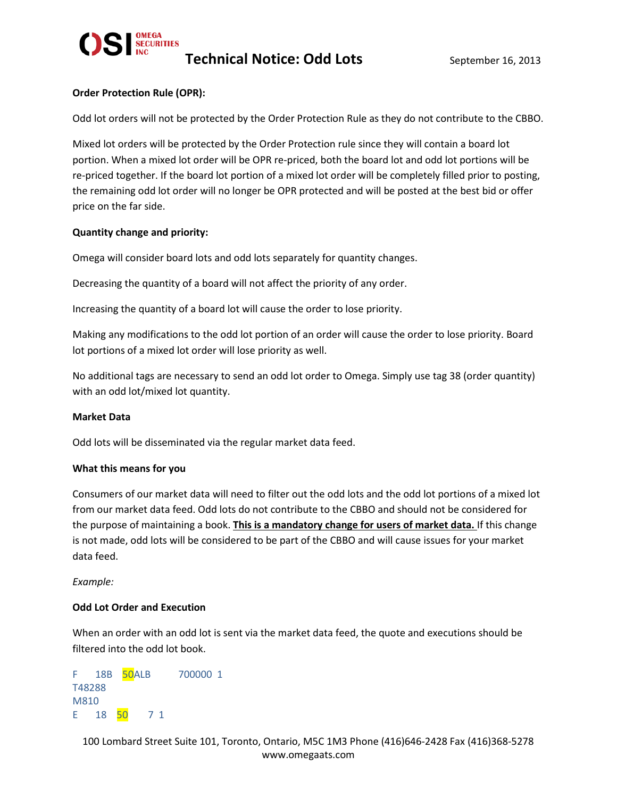

## **Order Protection Rule (OPR):**

Odd lot orders will not be protected by the Order Protection Rule as they do not contribute to the CBBO.

Mixed lot orders will be protected by the Order Protection rule since they will contain a board lot portion. When a mixed lot order will be OPR re-priced, both the board lot and odd lot portions will be re-priced together. If the board lot portion of a mixed lot order will be completely filled prior to posting, the remaining odd lot order will no longer be OPR protected and will be posted at the best bid or offer price on the far side.

#### **Quantity change and priority:**

Omega will consider board lots and odd lots separately for quantity changes.

Decreasing the quantity of a board will not affect the priority of any order.

Increasing the quantity of a board lot will cause the order to lose priority.

Making any modifications to the odd lot portion of an order will cause the order to lose priority. Board lot portions of a mixed lot order will lose priority as well.

No additional tags are necessary to send an odd lot order to Omega. Simply use tag 38 (order quantity) with an odd lot/mixed lot quantity.

#### **Market Data**

Odd lots will be disseminated via the regular market data feed.

#### **What this means for you**

Consumers of our market data will need to filter out the odd lots and the odd lot portions of a mixed lot from our market data feed. Odd lots do not contribute to the CBBO and should not be considered for the purpose of maintaining a book. **This is a mandatory change for users of market data.** If this change is not made, odd lots will be considered to be part of the CBBO and will cause issues for your market data feed.

*Example:*

#### **Odd Lot Order and Execution**

When an order with an odd lot is sent via the market data feed, the quote and executions should be filtered into the odd lot book.

F 18B 50ALB 700000 1 T48288 M810 E 18 50 7 1

100 Lombard Street Suite 101, Toronto, Ontario, M5C 1M3 Phone (416)646-2428 Fax (416)368-5278 www.omegaats.com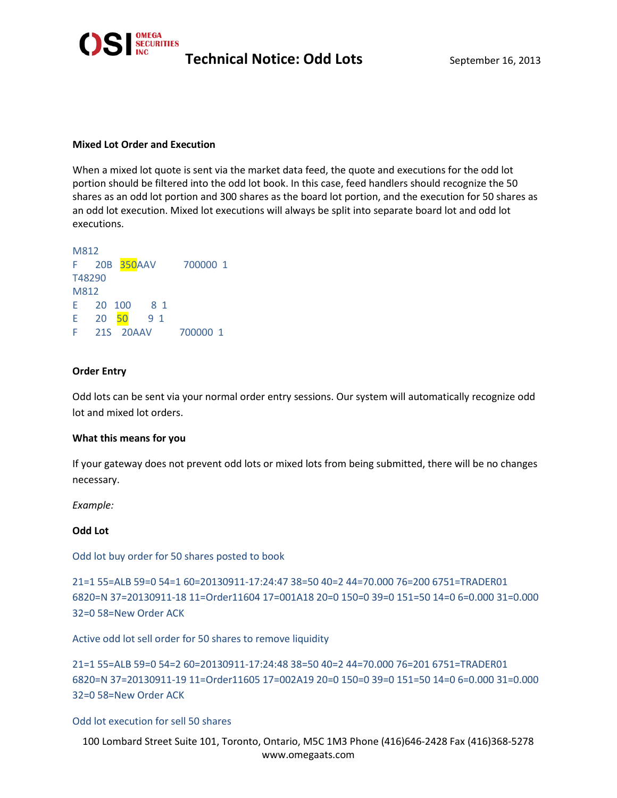

## **Mixed Lot Order and Execution**

When a mixed lot quote is sent via the market data feed, the quote and executions for the odd lot portion should be filtered into the odd lot book. In this case, feed handlers should recognize the 50 shares as an odd lot portion and 300 shares as the board lot portion, and the execution for 50 shares as an odd lot execution. Mixed lot executions will always be split into separate board lot and odd lot executions.

```
M812
F 20B 350AAV 700000 1
T48290
M812
E 20 100 8 1
E 20 50 9 1
F 21S 20AAV 700000 1
```
## **Order Entry**

Odd lots can be sent via your normal order entry sessions. Our system will automatically recognize odd lot and mixed lot orders.

## **What this means for you**

If your gateway does not prevent odd lots or mixed lots from being submitted, there will be no changes necessary.

*Example:*

## **Odd Lot**

Odd lot buy order for 50 shares posted to book

```
21=1 55=ALB 59=0 54=1 60=20130911-17:24:47 38=50 40=2 44=70.000 76=200 6751=TRADER01 
6820=N 37=20130911-18 11=Order11604 17=001A18 20=0 150=0 39=0 151=50 14=0 6=0.000 31=0.000 
32=0 58=New Order ACK
```
Active odd lot sell order for 50 shares to remove liquidity

21=1 55=ALB 59=0 54=2 60=20130911-17:24:48 38=50 40=2 44=70.000 76=201 6751=TRADER01 6820=N 37=20130911-19 11=Order11605 17=002A19 20=0 150=0 39=0 151=50 14=0 6=0.000 31=0.000 32=0 58=New Order ACK

Odd lot execution for sell 50 shares

100 Lombard Street Suite 101, Toronto, Ontario, M5C 1M3 Phone (416)646-2428 Fax (416)368-5278 www.omegaats.com